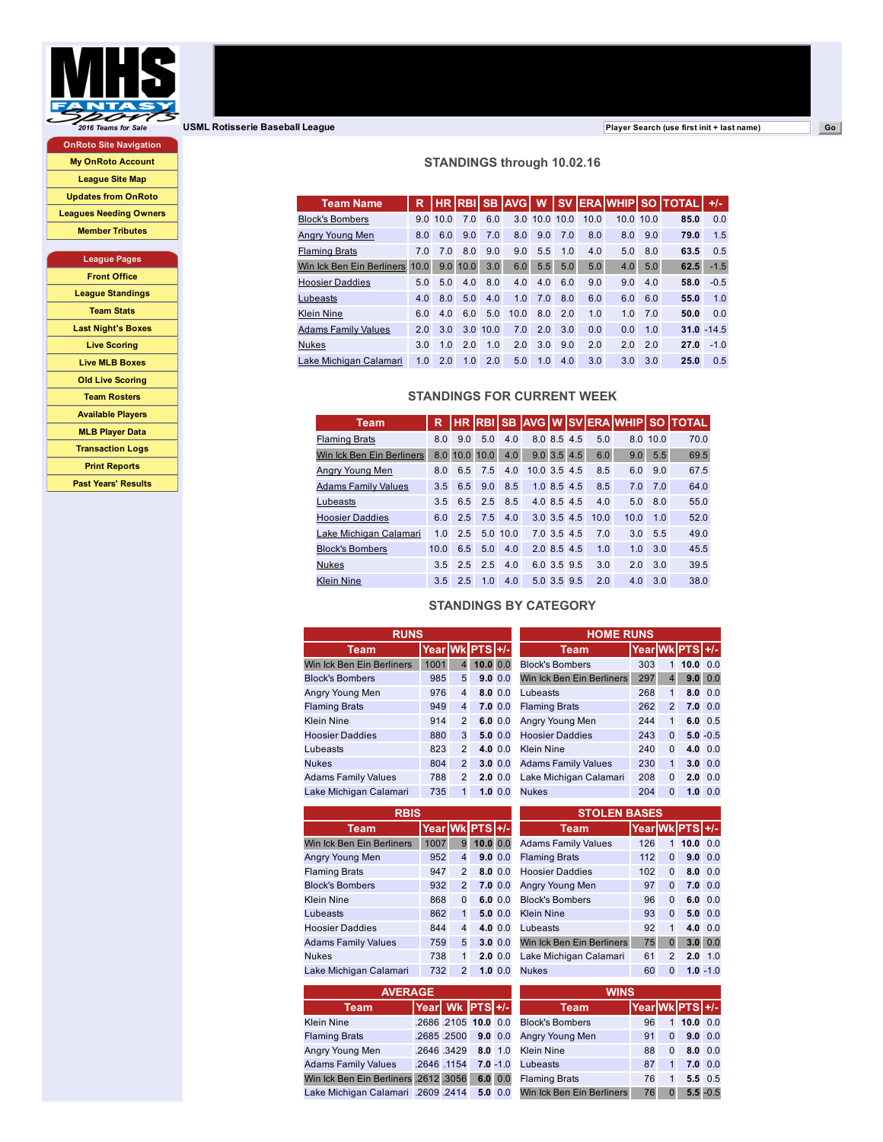

OnRoto Site Navigation My OnRoto [Account](http://onroto.com/index.pl?USML+&session_id=d8Xhw) [League](http://onroto.usml.net/baseball/webnew/site_map.pl?USML+&session_id=d8Xhw) Site Map [Updates](http://onroto.usml.net/baseball/webnew/updates.pl?USML+&session_id=d8Xhw) from OnRoto [Leagues](http://onroto.usml.net/baseball/webnew/display_LFO.pl?USML+&session_id=d8Xhw) Needing Owners

Member [Tributes](http://onroto.usml.net/baseball/webnew/display_tributes.pl?USML+&session_id=d8Xhw)

## League Pages

Front [Office](http://onroto.usml.net/baseball/webnew/mini_site_map.pl?USML++league_front_office&session_id=d8Xhw) League [Standings](http://onroto.usml.net/baseball/webnew/display_stand.pl?USML+&session_id=d8Xhw) [Team](http://onroto.usml.net/baseball/webnew/mini_site_map.pl?USML++league_team_stats&session_id=d8Xhw) Stats Last [Night's](http://onroto.usml.net/baseball/webnew/mini_site_map.pl?USML++league_last_night%27s_boxes&session_id=d8Xhw) Boxes Live [Scoring](http://onroto.usml.net/baseball/webnew/mini_site_map.pl?USML++league_live_scoring&session_id=d8Xhw) Live MLB [Boxes](http://onroto.usml.net/baseball/webnew/display_MLB_scoreboard.pl?USML+&session_id=d8Xhw) Old Live [Scoring](http://onroto.usml.net/baseball/webnew/mini_site_map.pl?USML++league_old_live_scoring&session_id=d8Xhw) Team [Rosters](http://onroto.usml.net/baseball/webnew/mini_site_map.pl?USML++league_team_rosters&session_id=d8Xhw) [Available](http://onroto.usml.net/baseball/webnew/mini_site_map.pl?USML++league_available_players&session_id=d8Xhw) Players MLB [Player](http://onroto.usml.net/baseball/webnew/mini_site_map.pl?USML++league_mlb_player_data&session_id=d8Xhw) Data [Transaction](http://onroto.usml.net/baseball/webnew/mini_site_map.pl?USML++league_transaction_logs&session_id=d8Xhw) Logs Print [Reports](http://onroto.usml.net/baseball/webnew/mini_site_map.pl?USML++league_print_reports&session_id=d8Xhw) Past Years' [Results](http://onroto.usml.net/baseball/webnew/mini_site_map.pl?USML++league_past_results&session_id=d8Xhw)

**2016** *[Teams](http://www.mhssports.com/teams_for_sale_baseball.htm) for Sale* **USML Rotisserie Baseball League Company of Company of Company of Company of Company of Company of Company of Company of Company of Company of Company of Company of Company of Company of Company o** 

## STANDINGS through 10.02.16

| <b>Team Name</b>               | R              |      | <b>HR RBISB</b> |      | <b>AVGI</b> | W             | <b>SV</b> |      |          |     | <b>ERAIWHIP SO ITOTAL</b> | $+/-$         |
|--------------------------------|----------------|------|-----------------|------|-------------|---------------|-----------|------|----------|-----|---------------------------|---------------|
| <b>Block's Bombers</b>         | 90             | 10.0 | 7.0             | 6.0  |             | 3.0 10.0 10.0 |           | 10.0 | 10.010.0 |     | 85.0                      | 0.0           |
| Anary Young Men                | 8.0            | 6.0  | 9.0             | 7.0  | 8.0         | 9.0           | 7.0       | 8.0  | 8.0      | 9.0 | 79.0                      | 1.5           |
| <b>Flaming Brats</b>           | 7.0            | 7.0  | 8.0             | 9.0  | 9.0         | 5.5           | 1.0       | 4.0  | 5.0      | 8.0 | 63.5                      | 0.5           |
| Win Ick Ben Ein Berliners 10.0 |                | 9.0  | 10.0            | 3.0  | 6.0         | 5.5           | 5.0       | 5.0  | 4.0      | 5.0 | 62.5                      | $-1.5$        |
| <b>Hoosier Daddies</b>         | 5.0            | 5.0  | 4.0             | 8.0  | 4.0         | 4.0           | 6.0       | 9.0  | 9.0      | 4.0 | 58.0                      | $-0.5$        |
| Lubeasts                       | 4.0            | 8.0  | 5.0             | 4.0  | 1.0         | 7.0           | 8.0       | 6.0  | 6.0      | 6.0 | 55.0                      | 1.0           |
| <b>Klein Nine</b>              | 6.0            | 4.0  | 6.0             | 5.0  | 10.0        | 8.0           | 2.0       | 1.0  | 1.0      | 7.0 | 50.0                      | 0.0           |
| <b>Adams Family Values</b>     | 2.0            | 3.0  | 3.0             | 10.0 | 7.0         | 2.0           | 3.0       | 0.0  | 0.0      | 1.0 |                           | $31.0 - 14.5$ |
| <b>Nukes</b>                   | 3.0            | 1.0  | 2.0             | 1.0  | 2.0         | 3.0           | 9.0       | 2.0  | 2.0      | 2.0 | 27.0                      | $-1.0$        |
| Lake Michigan Calamari         | 1 <sub>0</sub> | 20   | 1.0             | 2.0  | 5.0         | 1.0           | 4.0       | 3.0  | 3.0      | 3.0 | 25.0                      | 0.5           |

## STANDINGS FOR CURRENT WEEK

| <b>Team</b>                | R              |     | <b>HR RBISB</b> |            |              |               |             |      | <b>AVG W SV ERA WHIP SO</b> |          | <b>TOTAL</b> |
|----------------------------|----------------|-----|-----------------|------------|--------------|---------------|-------------|------|-----------------------------|----------|--------------|
| <b>Flaming Brats</b>       | 8.0            | 9.0 | 5.0             | 4.0        |              | 8.0 8.5       | 4.5         | 5.0  |                             | 8.0 10.0 | 70.0         |
| Win Ick Ben Ein Berliners  |                |     | 8.0 10.0 10.0   | 4.0        |              |               | 9.0 3.5 4.5 | 6.0  | 9.0                         | 5.5      | 69.5         |
| Angry Young Men            | 8.0            | 6.5 | 7.5             | 4.0        | 10.0 3.5 4.5 |               |             | 8.5  | 6.0                         | 9.0      | 67.5         |
| <b>Adams Family Values</b> | 3.5            | 6.5 | 9.0             | 8.5        |              | $1.0$ 8.5 4.5 |             | 8.5  | 7.0                         | 7.0      | 64.0         |
| Lubeasts                   | 3.5            | 6.5 | 2.5             | 8.5        |              | 4.0 8.5 4.5   |             | 4.0  | 5.0                         | 8.0      | 55.0         |
| <b>Hoosier Daddies</b>     | 6.0            | 2.5 | 7.5             | 4.0        |              | 3.0 3.5 4.5   |             | 10.0 | 10.0                        | 1.0      | 52.0         |
| Lake Michigan Calamari     | 1 <sub>0</sub> | 2.5 |                 | $5.0$ 10.0 |              | 7.0 3.5 4.5   |             | 7.0  | 3.0                         | 5.5      | 49.0         |
| <b>Block's Bombers</b>     | 10.0           | 6.5 | 5.0             | 4.0        |              | 2.0 8.5 4.5   |             | 1.0  | 1.0                         | 3.0      | 45.5         |
| <b>Nukes</b>               | 3.5            | 2.5 | 2.5             | 4.0        |              | 6.0 3.5 9.5   |             | 3.0  | 2.0                         | 3.0      | 39.5         |
| <b>Klein Nine</b>          | 3.5            | 2.5 | 1.0             | 4.0        |              | 5.0 3.5 9.5   |             | 2.0  | 4.0                         | 30       | 38.0         |

## STANDINGS BY CATEGORY

| <b>RUNS</b>                |                 |                |          |              | <b>HOME RUNS</b>           |                 |                |          |                 |
|----------------------------|-----------------|----------------|----------|--------------|----------------------------|-----------------|----------------|----------|-----------------|
| Team                       | Year Wk PTS +/- |                |          |              | Team.                      | Year Wk PTS +/- |                |          |                 |
| Win Ick Ben Ein Berliners  | 1001            | 4              | 10.0 0.0 |              | <b>Block's Bombers</b>     | 303             | $1 \square$    | 10.0 0.0 |                 |
| <b>Block's Bombers</b>     | 985             | 5              |          | $9.0 \ 0.0$  | Win Ick Ben Ein Berliners  | 297             | $\overline{4}$ | 9.0      | 0.0             |
| Angry Young Men            | 976             | 4              |          | $8.0 \ 0.0$  | Lubeasts                   | 268             | $\mathbf{1}$   |          | $8.0 \quad 0.0$ |
| <b>Flaming Brats</b>       | 949             | $\overline{4}$ |          | $7.0 \, 0.0$ | <b>Flaming Brats</b>       | 262             | $\overline{2}$ |          | $7.0 \quad 0.0$ |
| <b>Klein Nine</b>          | 914             | $\overline{2}$ |          | 6.0 0.0      | Angry Young Men            | 244             | $\mathbf{1}$   |          | $6.0 \quad 0.5$ |
| <b>Hoosier Daddies</b>     | 880             | 3              |          | $5.0 \ 0.0$  | <b>Hoosier Daddies</b>     | 243             | $\Omega$       |          | $5.0 - 0.5$     |
| Lubeasts                   | 823             | $\overline{2}$ |          | $4.0 \ 0.0$  | <b>Klein Nine</b>          | 240             | $\Omega$       |          | 4.0 $0.0$       |
| <b>Nukes</b>               | 804             | $\overline{2}$ |          | $3.0 \ 0.0$  | <b>Adams Family Values</b> | 230             | $\mathbf{1}$   |          | $3.0 \quad 0.0$ |
| <b>Adams Family Values</b> | 788             | 2              |          | $2.0 \ 0.0$  | Lake Michigan Calamari     | 208             | $\Omega$       |          | $2.0 \quad 0.0$ |
| Lake Michigan Calamari     | 735             | $\mathbf{1}$   |          | $1.0 \ 0.0$  | <b>Nukes</b>               | 204             | $\mathbf{0}$   | 1.0      | 0.0             |
|                            |                 |                |          |              |                            |                 |                |          |                 |

| <b>RBIS</b> |   |                                                                     |                                                                                                                         |                                                                                                                                                         |     |                           |                                               |                                                                                                                                 |
|-------------|---|---------------------------------------------------------------------|-------------------------------------------------------------------------------------------------------------------------|---------------------------------------------------------------------------------------------------------------------------------------------------------|-----|---------------------------|-----------------------------------------------|---------------------------------------------------------------------------------------------------------------------------------|
|             |   |                                                                     |                                                                                                                         | <b>Team</b>                                                                                                                                             |     |                           |                                               |                                                                                                                                 |
|             | 9 |                                                                     |                                                                                                                         | <b>Adams Family Values</b>                                                                                                                              | 126 |                           |                                               | 0.0                                                                                                                             |
|             |   |                                                                     |                                                                                                                         | <b>Flaming Brats</b>                                                                                                                                    |     | $\Omega$                  |                                               | 0.0                                                                                                                             |
|             |   |                                                                     |                                                                                                                         | <b>Hoosier Daddies</b>                                                                                                                                  |     | $\Omega$                  |                                               | $8.0 \quad 0.0$                                                                                                                 |
|             |   |                                                                     |                                                                                                                         | Angry Young Men                                                                                                                                         | 97  |                           |                                               | $7.0 \quad 0.0$                                                                                                                 |
|             |   |                                                                     |                                                                                                                         | <b>Block's Bombers</b>                                                                                                                                  | 96  | $\Omega$                  |                                               | $6.0 \quad 0.0$                                                                                                                 |
|             | 1 |                                                                     |                                                                                                                         | <b>Klein Nine</b>                                                                                                                                       | 93  |                           |                                               | $5.0 \quad 0.0$                                                                                                                 |
|             |   |                                                                     |                                                                                                                         | Lubeasts                                                                                                                                                |     | $\mathbf{1}$              |                                               | 0.0                                                                                                                             |
|             |   |                                                                     |                                                                                                                         |                                                                                                                                                         |     |                           |                                               | 0.0                                                                                                                             |
|             |   |                                                                     |                                                                                                                         | Lake Michigan Calamari                                                                                                                                  | 61  |                           |                                               | 1.0                                                                                                                             |
|             |   |                                                                     |                                                                                                                         | <b>Nukes</b>                                                                                                                                            | 60  | $\mathbf{0}$              |                                               | $1.0 - 1.0$                                                                                                                     |
|             |   | 1007<br>952<br>947<br>932<br>868<br>862<br>844<br>759<br>738<br>732 | $\overline{4}$<br>$\overline{2}$<br>$\overline{2}$<br>$\Omega$<br>$\overline{4}$<br>5<br>$\mathbf{1}$<br>$\overline{2}$ | Year Wk PTS +/-<br>10.0 0.0<br>9.0 0.0<br>$8.0 \ 0.0$<br>$7.0 \, 0.0$<br>6.0 0.0<br>$5.0 \ 0.0$<br>$4.0 \ 0.0$<br>$3.0 \ 0.0$<br>$2.0 \ 0.0$<br>1.0 0.0 |     | Win Ick Ben Ein Berliners | <b>STOLEN BASES</b><br>112<br>102<br>92<br>75 | Year Wk PTS +/-<br>10.0<br>1<br>9.0<br>$\Omega$<br>$\Omega$<br>4.0<br>3.0 <sub>1</sub><br>$\mathbf{0}$<br>$\overline{2}$<br>2.0 |

| <b>AVERAGE</b>                             |                 |                      |             |             |                |
|--------------------------------------------|-----------------|----------------------|-------------|-------------|----------------|
| <b>Team</b>                                | Year Wk PTS +/- |                      |             |             |                |
| Klein Nine                                 |                 | .2686 .2105 10.0 0.0 |             |             | Block's        |
| <b>Flaming Brats</b>                       |                 | .2685.2500           | $9.0 \ 0.0$ |             | <b>Angry Y</b> |
| Angry Young Men                            |                 | .2646 .3429 8.0 1.0  |             |             | <b>Klein N</b> |
| <b>Adams Family Values</b>                 |                 | .2646.1154           | $7.0 - 1.0$ |             | Lubeas         |
| Win Ick Ben Ein Berliners .2612 .3056      |                 |                      |             | $6.0 \ 0.0$ | Flamino        |
| Lake Michigan Calamari .2609 .2414 5.0 0.0 |                 |                      |             |             | Win Ick        |
|                                            |                 |                      |             |             |                |

| <b>STOLEN BASES</b>        |                 |                |      |     |
|----------------------------|-----------------|----------------|------|-----|
| <b>Team</b>                | Year Wk PTS +/- |                |      |     |
| <b>Adams Family Values</b> | 126             | 1              | 10.0 | 0.0 |
| <b>Flaming Brats</b>       | 112             | $\Omega$       | 9.0  | 0.0 |
| <b>Hoosier Daddies</b>     | 102             | $\Omega$       | 8.0  | 0.0 |
| Angry Young Men            | 97              | $\mathbf{0}$   | 7.0  | 0.0 |
| <b>Block's Bombers</b>     | 96              | $\Omega$       | 6.0  | 0.0 |
| Klein Nine                 | 93              | $\Omega$       | 5.0  | 0.0 |
| Lubeasts                   | 92              | $\mathbf{1}$   | 4.0  | 0.0 |
| Win Ick Ben Ein Berliners  | 75              | $\mathbf{0}$   | 3.0  | 0.0 |
| Lake Michigan Calamari     | 61              | $\overline{2}$ | 2.0  | 1.0 |

| <b>WINS</b>               |                 |              |      |             |  |  |  |
|---------------------------|-----------------|--------------|------|-------------|--|--|--|
| <b>Team</b>               | Year Wk PTS +/- |              |      |             |  |  |  |
| <b>Block's Bombers</b>    | 96              | $\mathbf{1}$ | 10.0 | 0.0         |  |  |  |
| Angry Young Men           | 91              | $\Omega$     | 9.0  | 0.0         |  |  |  |
| <b>Klein Nine</b>         | 88              | $\Omega$     | 8.0  | 0.0         |  |  |  |
| Lubeasts                  | 87              | $\mathbf{1}$ | 7.0  | 0.0         |  |  |  |
| <b>Flaming Brats</b>      | 76              | 1            | 5.5  | 0.5         |  |  |  |
| Win Ick Ben Ein Berliners | 76              | $\Omega$     |      | $5.5 - 0.5$ |  |  |  |